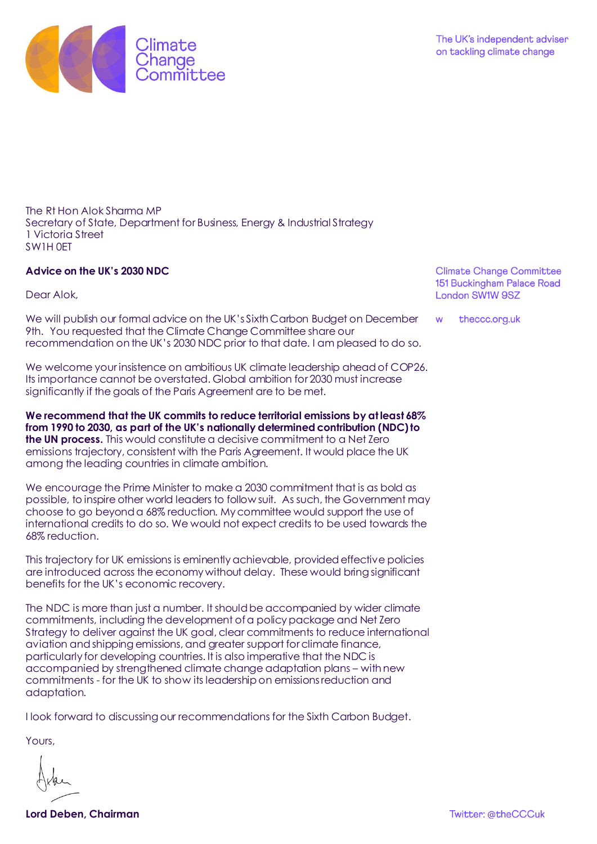

The Rt Hon Alok Sharma MP Secretary of State, Department for Business, Energy & Industrial Strategy 1 Victoria Street SW1H 0ET

## **Advice on the UK's 2030 NDC**

Dear Alok,

We will publish our formal advice on the UK's Sixth Carbon Budget on December 9th. You requested that the Climate Change Committee share our recommendation on the UK's 2030 NDC prior to that date. I am pleased to do so.

We welcome your insistence on ambitious UK climate leadership ahead of COP26. Its importance cannot be overstated. Global ambition for 2030 must increase significantly if the goals of the Paris Agreement are to be met.

**We recommend that the UK commits to reduce territorial emissions by at least 68% from 1990 to 2030, as part of the UK's nationally determined contribution (NDC) to the UN process.** This would constitute a decisive commitment to a Net Zero emissions trajectory, consistent with the Paris Agreement. It would place the UK among the leading countries in climate ambition.

We encourage the Prime Minister to make a 2030 commitment that is as bold as possible, to inspire other world leaders to follow suit. As such, the Government may choose to go beyond a 68% reduction. My committee would support the use of international credits to do so. We would not expect credits to be used towards the 68% reduction.

This trajectory for UK emissions is eminently achievable, provided effective policies are introduced across the economy without delay. These would bring significant benefits for the UK's economic recovery.

The NDC is more than just a number. It should be accompanied by wider climate commitments, including the development of a policy package and Net Zero Strategy to deliver against the UK goal, clear commitments to reduce international aviation and shipping emissions, and greater support for climate finance, particularly for developing countries. It is also imperative that the NDC is accompanied by strengthened climate change adaptation plans – with new commitments - for the UK to show its leadership on emissions reduction and adaptation.

I look forward to discussing our recommendations for the Sixth Carbon Budget.

Yours,

**Lord Deben, Chairman** 

**Climate Change Committee** 151 Buckingham Palace Road London SW1W 9SZ

theccc.org.uk W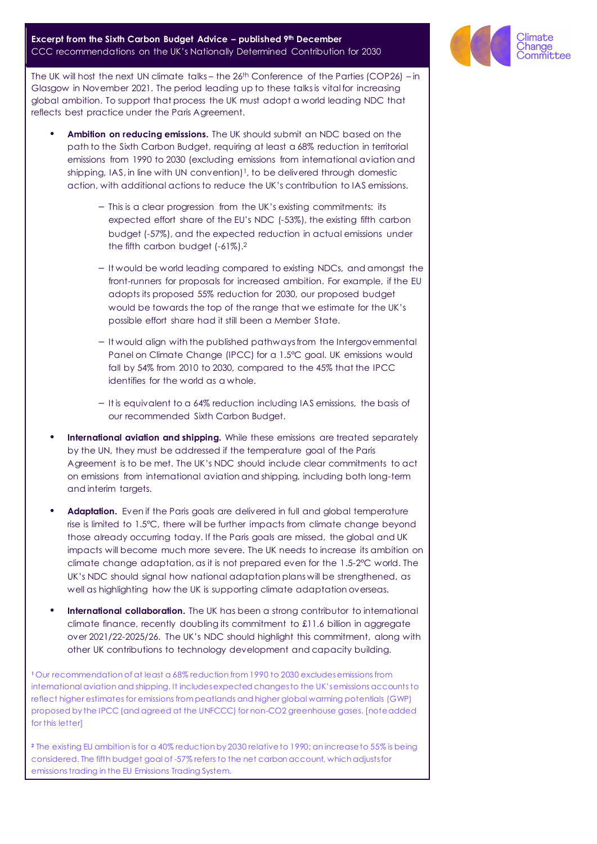## **Excerpt from the Sixth Carbon Budget Advice – published 9th December** CCC recommendations on the UK's Nationally Determined Contribution for 2030

The UK will host the next UN climate talks – the 26th Conference of the Parties (COP26) – in Glasgow in November 2021. The period leading up to these talks is vital for increasing global ambition. To support that process the UK must adopt a world leading NDC that reflects best practice under the Paris Agreement.

- **Ambition on reducing emissions.** The UK should submit an NDC based on the path to the Sixth Carbon Budget, requiring at least a 68% reduction in territorial emissions from 1990 to 2030 (excluding emissions from international aviation and shipping, IAS, in line with UN convention $1<sup>1</sup>$ , to be delivered through domestic action, with additional actions to reduce the UK's contribution to IAS emissions.
	- This is a clear progression from the UK's existing commitments: its expected effort share of the EU's NDC (-53%), the existing fifth carbon budget (-57%), and the expected reduction in actual emissions under the fifth carbon budget (-61%).<sup>2</sup>
	- It would be world leading compared to existing NDCs, and amongst the front-runners for proposals for increased ambition. For example, if the EU adopts its proposed 55% reduction for 2030, our proposed budget would be towards the top of the range that we estimate for the UK's possible effort share had it still been a Member State.
	- It would align with the published pathways from the Intergovernmental Panel on Climate Change (IPCC) for a 1.5°C goal. UK emissions would fall by 54% from 2010 to 2030, compared to the 45% that the IPCC identifies for the world as a whole.
	- It is equivalent to a 64% reduction including IAS emissions, the basis of our recommended Sixth Carbon Budget.
- **International aviation and shipping.** While these emissions are treated separately by the UN, they must be addressed if the temperature goal of the Paris Agreement is to be met. The UK's NDC should include clear commitments to act on emissions from international aviation and shipping, including both long-term and interim targets.
- Adaptation. Even if the Paris goals are delivered in full and global temperature rise is limited to 1.5°C, there will be further impacts from climate change beyond those already occurring today. If the Paris goals are missed, the global and UK impacts will become much more severe. The UK needs to increase its ambition on climate change adaptation, as it is not prepared even for the 1.5-2°C world. The UK's NDC should signal how national adaptation plans will be strengthened, as well as highlighting how the UK is supporting climate adaptation overseas.
- **International collaboration.** The UK has been a strong contributor to international climate finance, recently doubling its commitment to £11.6 billion in aggregate over 2021/22-2025/26. The UK's NDC should highlight this commitment, along with other UK contributions to technology development and capacity building.

**<sup>1</sup>**Our recommendation of at least a 68% reduction from 1990 to 2030 excludes emissions from international aviation and shipping. It includes expected changes to the UK's emissions accounts to reflect higher estimates for emissions from peatlands and higher global warming potentials (GWP) proposed by the IPCC (and agreed at the UNFCCC) for non-CO2 greenhouse gases. [note added for this letter]

**<sup>2</sup>** The existing EU ambition is for a 40% reduction by 2030 relative to 1990; an increase to 55% is being considered. The fifth budget goal of -57% refers to the net carbon account, which adjusts for emissions trading in the EU Emissions Trading System.

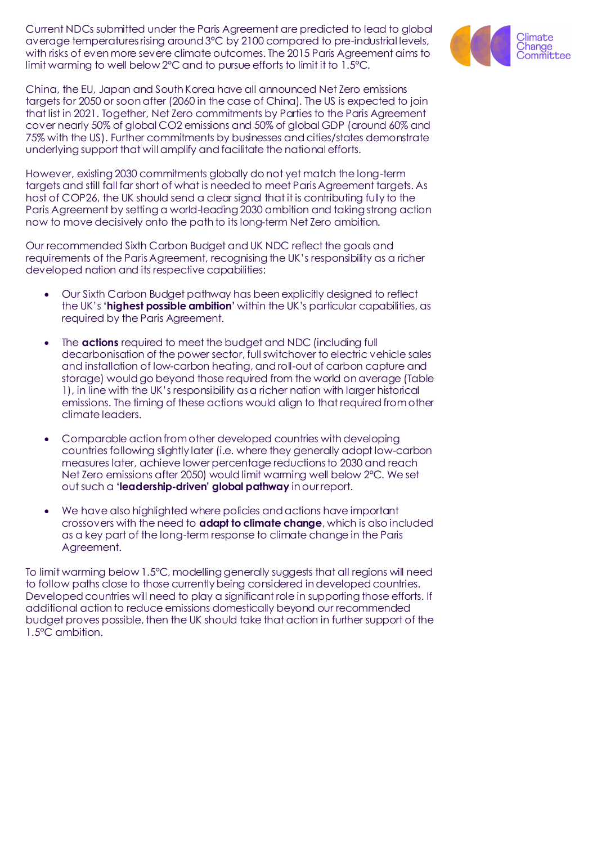Current NDCs submitted under the Paris Agreement are predicted to lead to global average temperatures rising around 3°C by 2100 compared to pre-industrial levels, with risks of even more severe climate outcomes. The 2015 Paris Agreement aims to limit warming to well below 2°C and to pursue efforts to limit it to 1.5°C.



However, existing 2030 commitments globally do not yet match the long-term targets and still fall far short of what is needed to meet Paris Agreement targets. As host of COP26, the UK should send a clear signal that it is contributing fully to the Paris Agreement by setting a world-leading 2030 ambition and taking strong action now to move decisively onto the path to its long-term Net Zero ambition.

Our recommended Sixth Carbon Budget and UK NDC reflect the goals and requirements of the Paris Agreement, recognising the UK's responsibility as a richer developed nation and its respective capabilities:

- Our Sixth Carbon Budget pathway has been explicitly designed to reflect the UK's **'highest possible ambition'** within the UK's particular capabilities, as required by the Paris Agreement.
- The **actions** required to meet the budget and NDC (including full decarbonisation of the power sector, full switchover to electric vehicle sales and installation of low-carbon heating, and roll-out of carbon capture and storage) would go beyond those required from the world on average (Table 1), in line with the UK's responsibility as a richer nation with larger historical emissions. The timing of these actions would align to that required from other climate leaders.
- Comparable action from other developed countries with developing countries following slightly later (i.e. where they generally adopt low-carbon measures later, achieve lower percentage reductions to 2030 and reach Net Zero emissions after 2050) would limit warming well below 2°C. We set out such a **'leadership-driven' global pathway** in our report.
- We have also highlighted where policies and actions have important crossovers with the need to **adapt to climate change**, which is also included as a key part of the long-term response to climate change in the Paris Agreement.

To limit warming below 1.5°C, modelling generally suggests that all regions will need to follow paths close to those currently being considered in developed countries. Developed countries will need to play a significant role in supporting those efforts. If additional action to reduce emissions domestically beyond our recommended budget proves possible, then the UK should take that action in further support of the 1.5°C ambition.